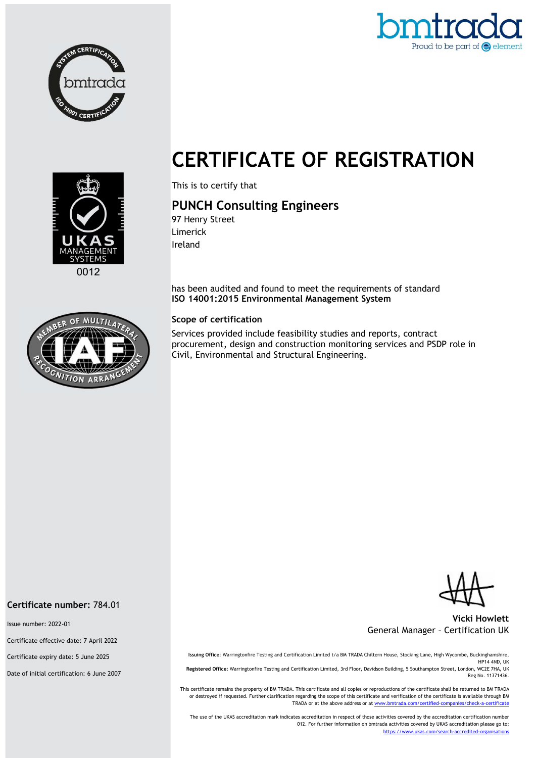





This is to certify that

# PUNCH Consulting Engineers

97 Henry Street Limerick Ireland

has been audited and found to meet the requirements of standard ISO 14001:2015 Environmental Management System

### Scope of certification

Services provided include feasibility studies and reports, contract procurement, design and construction monitoring services and PSDP role in Civil, Environmental and Structural Engineering.

Vicki Howlett General Manager – Certification UK

Issuing Office: Warringtonfire Testing and Certification Limited t/a BM TRADA Chiltern House, Stocking Lane, High Wycombe, Buckinghamshire, HP14 4ND, UK Registered Office: Warringtonfire Testing and Certification Limited, 3rd Floor, Davidson Building, 5 Southampton Street, London, WC2E 7HA, UK Reg No. 11371436.

This certificate remains the property of BM TRADA. This certificate and all copies or reproductions of the certificate shall be returned to BM TRADA or destroyed if requested. Further clarification regarding the scope of this certificate and verification of the certificate is available through BM TRADA or at the above address or at www.bmtrada.com/certified-companies/check-a-certificate

The use of the UKAS accreditation mark indicates accreditation in respect of those activities covered by the accreditation certification number 012. For further information on bmtrada activities covered by UKAS accreditation please go to: https://www.ukas.com/search-accredited-organisations



#### Certificate number: 784.01

Issue number: 2022-01

Certificate effective date: 7 April 2022

Certificate expiry date: 5 June 2025

Date of initial certification: 6 June 2007